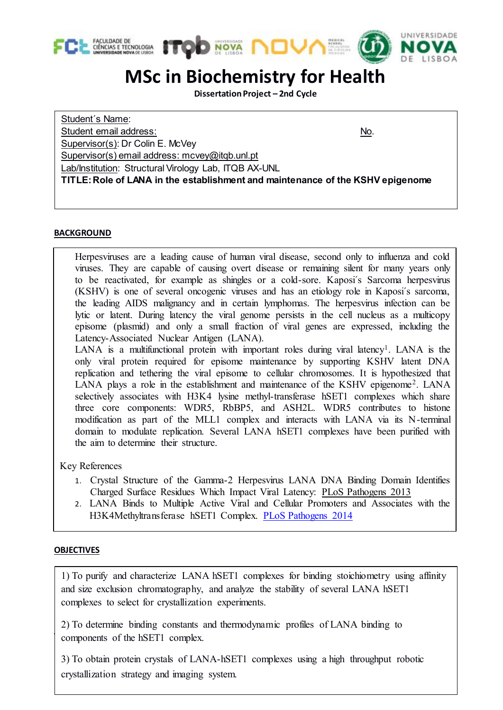





1

# **MSc in Biochemistry for Health**

**Dissertation Project – 2nd Cycle**

Student´s Name: Student email address: No. Supervisor(s): Dr Colin E. McVey Supervisor(s) email address: mcvey@itqb.unl.pt Lab/Institution: Structural Virology Lab, ITQB AX-UNL **TITLE:Role of LANA in the establishment and maintenance of the KSHV epigenome**

## **BACKGROUND**

Herpesviruses are a leading cause of human viral disease, second only to influenza and cold viruses. They are capable of causing overt disease or remaining silent for many years only to be reactivated, for example as shingles or a cold-sore. Kaposi´s Sarcoma herpesvirus (KSHV) is one of several oncogenic viruses and has an etiology role in Kaposi´s sarcoma, the leading AIDS malignancy and in certain lymphomas. The herpesvirus infection can be lytic or latent. During latency the viral genome persists in the cell nucleus as a multicopy episome (plasmid) and only a small fraction of viral genes are expressed, including the Latency-Associated Nuclear Antigen (LANA).

LANA is a multifunctional protein with important roles during viral latency<sup>1</sup>. LANA is the only viral protein required for episome maintenance by supporting KSHV latent DNA replication and tethering the viral episome to cellular chromosomes. It is hypothesized that LANA plays a role in the establishment and maintenance of the KSHV epigenome<sup>2</sup>. LANA selectively associates with H3K4 lysine methyl-transferase hSET1 complexes which share three core components: WDR5, RbBP5, and ASH2L. WDR5 contributes to histone modification as part of the MLL1 complex and interacts with LANA via its N-terminal domain to modulate replication. Several LANA hSET1 complexes have been purified with the aim to determine their structure.

Key References

- 1. Crystal Structure of the Gamma-2 Herpesvirus LANA DNA Binding Domain Identifies Charged Surface Residues Which Impact Viral Latency: PLoS Pathogens 2013
- 2. LANA Binds to Multiple Active Viral and Cellular Promoters and Associates with the H3K4Methyltransferase hSET1 Complex. PLoS Pathogens 2014

## **OBJECTIVES**

1) To purify and characterize LANA hSET1 complexes for binding stoichiometry using affinity and size exclusion chromatography, and analyze the stability of several LANA hSET1 complexes to select for crystallization experiments.

2) To determine binding constants and thermodynamic profiles of LANA binding to components of the hSET1 complex.

3) To obtain protein crystals of LANA-hSET1 complexes using a high throughput robotic crystallization strategy and imaging system.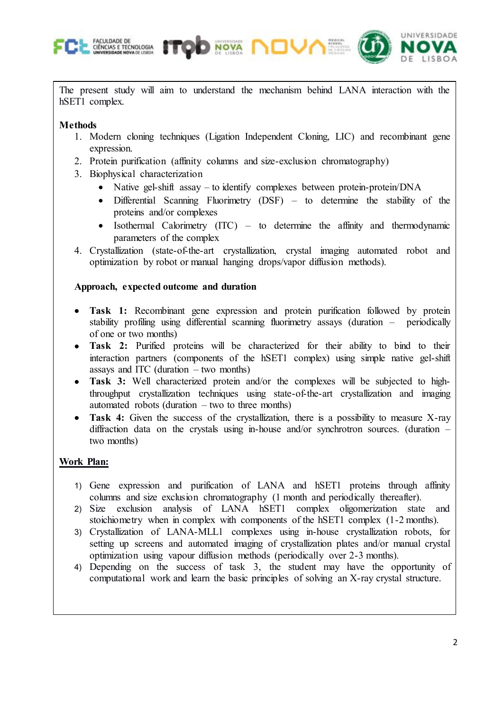



The present study will aim to understand the mechanism behind LANA interaction with the hSET1 complex.

## **Methods**

- 1. Modern cloning techniques (Ligation Independent Cloning, LIC) and recombinant gene expression.
- 2. Protein purification (affinity columns and size-exclusion chromatography)

**NOVA** 

- 3. Biophysical characterization
	- Native gel-shift assay to identify complexes between protein-protein/ $DNA$
	- Differential Scanning Fluorimetry  $(DSF)$  to determine the stability of the proteins and/or complexes
	- Isothermal Calorimetry (ITC) to determine the affinity and thermodynamic parameters of the complex
- 4. Crystallization (state-of-the-art crystallization, crystal imaging automated robot and optimization by robot or manual hanging drops/vapor diffusion methods).

## **Approach, expected outcome and duration**

- Task 1: Recombinant gene expression and protein purification followed by protein stability profiling using differential scanning fluorimetry assays (duration – periodically of one or two months)
- **Task 2:** Purified proteins will be characterized for their ability to bind to their interaction partners (components of the hSET1 complex) using simple native gel-shift assays and ITC (duration  $-$  two months)
- Task 3: Well characterized protein and/or the complexes will be subjected to highthroughput crystallization techniques using state-of-the-art crystallization and imaging automated robots (duration  $-$  two to three months)
- Task 4: Given the success of the crystallization, there is a possibility to measure X-ray diffraction data on the crystals using in-house and/or synchrotron sources. (duration – two months)

## **Work Plan:**

- 1) Gene expression and purification of LANA and hSET1 proteins through affinity columns and size exclusion chromatography (1 month and periodically thereafter).
- 2) Size exclusion analysis of LANA hSET1 complex oligomerization state and stoichiometry when in complex with components of the hSET1 complex (1-2 months).
- 3) Crystallization of LANA-MLL1 complexes using in-house crystallization robots, for setting up screens and automated imaging of crystallization plates and/or manual crystal optimization using vapour diffusion methods (periodically over 2-3 months).
- 4) Depending on the success of task 3, the student may have the opportunity of computational work and learn the basic principles of solving an X-ray crystal structure.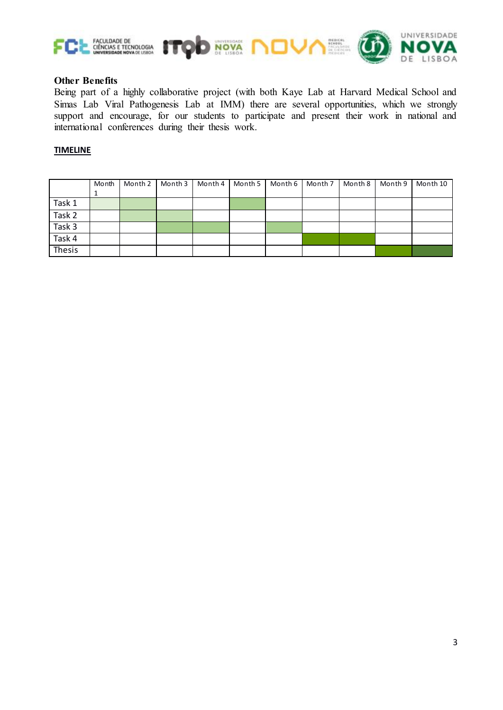

### **Other Benefits**

Being part of a highly collaborative project (with both Kaye Lab at Harvard Medical School and Simas Lab Viral Pathogenesis Lab at IMM) there are several opportunities, which we strongly support and encourage, for our students to participate and present their work in national and international conferences during their thesis work.

### **TIMELINE**

|        | Month | Month 2 | Month 3 | Month 4   Month 5 | Month 6 | Month 7 | Month 8 | Month 9 | Month 10 |
|--------|-------|---------|---------|-------------------|---------|---------|---------|---------|----------|
|        | ᆠ     |         |         |                   |         |         |         |         |          |
| Task 1 |       |         |         |                   |         |         |         |         |          |
| Task 2 |       |         |         |                   |         |         |         |         |          |
| Task 3 |       |         |         |                   |         |         |         |         |          |
| Task 4 |       |         |         |                   |         |         |         |         |          |
| Thesis |       |         |         |                   |         |         |         |         |          |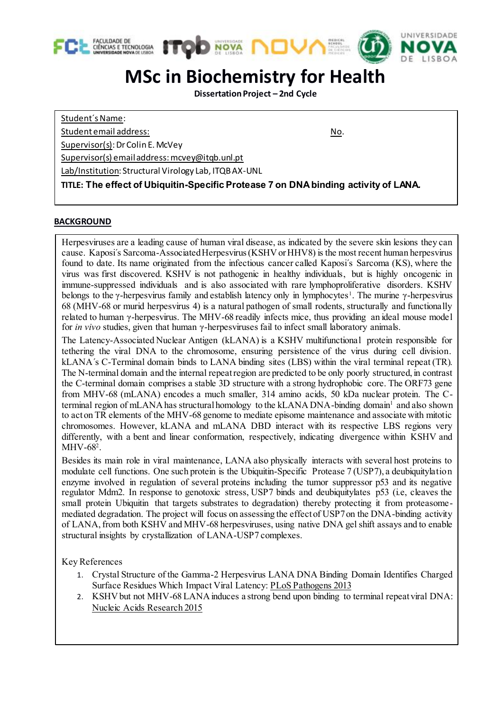

## **MSc in Biochemistry for Health**

**Dissertation Project – 2nd Cycle**

Student´s Name:

Student email address: No. 2006 No. 2012 12:30 No. 2013

Supervisor(s): Dr Colin E. McVey

Supervisor(s) email address: mcvey@itqb.unl.pt

Lab/Institution: Structural Virology Lab, ITQB AX-UNL

**TITLE: The effect of Ubiquitin-Specific Protease 7 on DNA binding activity of LANA***.*

### **BACKGROUND**

Herpesviruses are a leading cause of human viral disease, as indicated by the severe skin lesions they can cause. Kaposi´s Sarcoma-Associated Herpesvirus (KSHV or HHV8) is the most recent human herpesvirus found to date. Its name originated from the infectious cancer called Kaposi´s Sarcoma (KS), where the virus was first discovered. KSHV is not pathogenic in healthy individuals, but is highly oncogenic in immune-suppressed individuals and is also associated with rare lymphoproliferative disorders. KSHV belongs to the  $\gamma$ -herpesvirus family and establish latency only in lymphocytes<sup>1</sup>. The murine  $\gamma$ -herpesvirus 68 (MHV-68 or murid herpesvirus 4) is a natural pathogen of small rodents, structurally and functionally related to human γ-herpesvirus. The MHV-68 readily infects mice, thus providing an ideal mouse model for *in vivo* studies, given that human γ-herpesviruses fail to infect small laboratory animals.

The Latency-Associated Nuclear Antigen (kLANA) is a KSHV multifunctional protein responsible for tethering the viral DNA to the chromosome, ensuring persistence of the virus during cell division. kLANA´s C-Terminal domain binds to LANA binding sites (LBS) within the viral terminal repeat (TR). The N-terminal domain and the internal repeat region are predicted to be only poorly structured, in contrast the C-terminal domain comprises a stable 3D structure with a strong hydrophobic core. The ORF73 gene from MHV-68 (mLANA) encodes a much smaller, 314 amino acids, 50 kDa nuclear protein. The Cterminal region of mLANA has structural homology to the kLANA DNA-binding domain<sup>1</sup> and also shown to act on TR elements of the MHV-68 genome to mediate episome maintenance and associate with mitotic chromosomes. However, kLANA and mLANA DBD interact with its respective LBS regions very differently, with a bent and linear conformation, respectively, indicating divergence within KSHV and MHV-68<sup>2</sup>.

Besides its main role in viral maintenance, LANA also physically interacts with several host proteins to modulate cell functions. One such protein is the Ubiquitin-Specific Protease 7 (USP7), a deubiquitylation enzyme involved in regulation of several proteins including the tumor suppressor p53 and its negative regulator Mdm2. In response to genotoxic stress, USP7 binds and deubiquitylates p53 (i.e, cleaves the small protein Ubiquitin that targets substrates to degradation) thereby protecting it from proteasomemediated degradation. The project will focus on assessing the effect of USP7 on the DNA-binding activity of LANA, from both KSHV and MHV-68 herpesviruses, using native DNA gel shift assays and to enable structural insights by crystallization of LANA-USP7 complexes.

Key References

- 1. Crystal Structure of the Gamma-2 Herpesvirus LANA DNA Binding Domain Identifies Charged Surface Residues Which Impact Viral Latency: PLoS Pathogens 2013
- 2. KSHV but not MHV-68 LANA induces a strong bend upon binding to terminal repeat viral DNA: Nucleic Acids Research 2015

<u>.</u>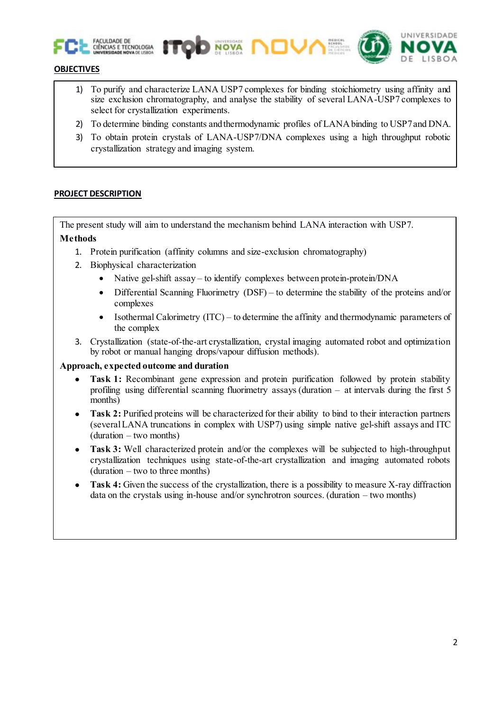



### **OBJECTIVES**

- 1) To purify and characterize LANA USP7 complexes for binding stoichiometry using affinity and size exclusion chromatography, and analyse the stability of several LANA-USP7 complexes to select for crystallization experiments.
- 2) To determine binding constants and thermodynamic profiles of LANA binding to USP7 and DNA.
- 3) To obtain protein crystals of LANA-USP7/DNA complexes using a high throughput robotic crystallization strategy and imaging system.

### **PROJECT DESCRIPTION**

The present study will aim to understand the mechanism behind LANA interaction with USP7. **Methods** 

**NOVA** 

- 1. Protein purification (affinity columns and size-exclusion chromatography)
- 2. Biophysical characterization
	- Native gel-shift assay to identify complexes between protein-protein/DNA
	- Differential Scanning Fluorimetry (DSF) to determine the stability of the proteins and/or complexes
	- Isothermal Calorimetry  $(ITC)$  to determine the affinity and thermodynamic parameters of the complex
- 3. Crystallization (state-of-the-art crystallization, crystal imaging automated robot and optimization by robot or manual hanging drops/vapour diffusion methods).

### **Approach, expected outcome and duration**

- **Task 1:** Recombinant gene expression and protein purification followed by protein stability profiling using differential scanning fluorimetry assays (duration – at intervals during the first 5 months)
- **Task 2:** Purified proteins will be characterized for their ability to bind to their interaction partners (several LANA truncations in complex with USP7) using simple native gel-shift assays and ITC (duration – two months)
- **Task 3:** Well characterized protein and/or the complexes will be subjected to high-throughput crystallization techniques using state-of-the-art crystallization and imaging automated robots (duration – two to three months)
- Task 4: Given the success of the crystallization, there is a possibility to measure X-ray diffraction data on the crystals using in-house and/or synchrotron sources. (duration – two months)